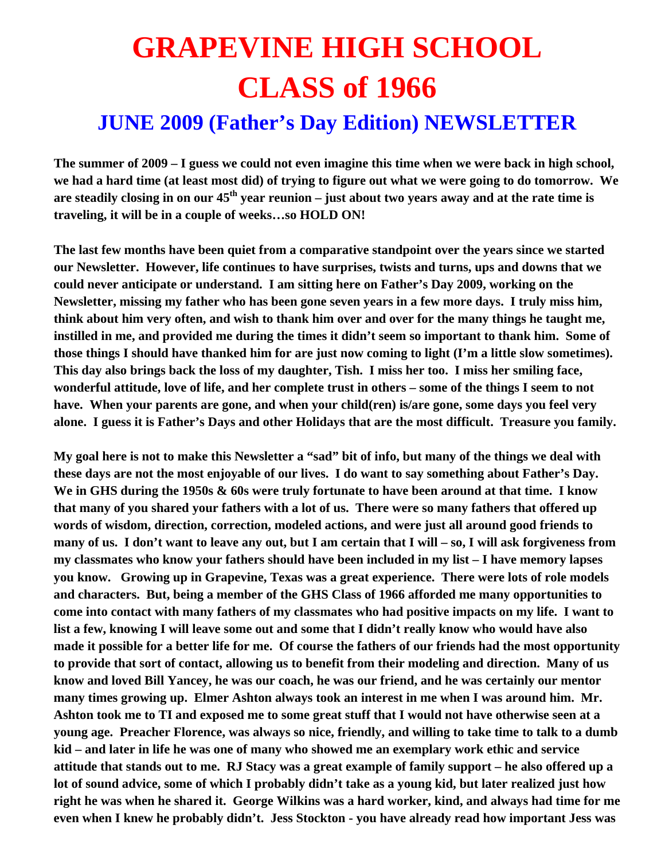## **GRAPEVINE HIGH SCHOOL CLASS of 1966**

## **JUNE 2009 (Father's Day Edition) NEWSLETTER**

**The summer of 2009 – I guess we could not even imagine this time when we were back in high school, we had a hard time (at least most did) of trying to figure out what we were going to do tomorrow. We**  are steadily closing in on our 45<sup>th</sup> year reunion – just about two years away and at the rate time is **traveling, it will be in a couple of weeks…so HOLD ON!** 

**The last few months have been quiet from a comparative standpoint over the years since we started our Newsletter. However, life continues to have surprises, twists and turns, ups and downs that we could never anticipate or understand. I am sitting here on Father's Day 2009, working on the Newsletter, missing my father who has been gone seven years in a few more days. I truly miss him, think about him very often, and wish to thank him over and over for the many things he taught me, instilled in me, and provided me during the times it didn't seem so important to thank him. Some of those things I should have thanked him for are just now coming to light (I'm a little slow sometimes). This day also brings back the loss of my daughter, Tish. I miss her too. I miss her smiling face, wonderful attitude, love of life, and her complete trust in others – some of the things I seem to not have. When your parents are gone, and when your child(ren) is/are gone, some days you feel very alone. I guess it is Father's Days and other Holidays that are the most difficult. Treasure you family.** 

**My goal here is not to make this Newsletter a "sad" bit of info, but many of the things we deal with these days are not the most enjoyable of our lives. I do want to say something about Father's Day. We in GHS during the 1950s & 60s were truly fortunate to have been around at that time. I know that many of you shared your fathers with a lot of us. There were so many fathers that offered up words of wisdom, direction, correction, modeled actions, and were just all around good friends to many of us. I don't want to leave any out, but I am certain that I will – so, I will ask forgiveness from my classmates who know your fathers should have been included in my list – I have memory lapses you know. Growing up in Grapevine, Texas was a great experience. There were lots of role models and characters. But, being a member of the GHS Class of 1966 afforded me many opportunities to come into contact with many fathers of my classmates who had positive impacts on my life. I want to list a few, knowing I will leave some out and some that I didn't really know who would have also made it possible for a better life for me. Of course the fathers of our friends had the most opportunity to provide that sort of contact, allowing us to benefit from their modeling and direction. Many of us know and loved Bill Yancey, he was our coach, he was our friend, and he was certainly our mentor many times growing up. Elmer Ashton always took an interest in me when I was around him. Mr. Ashton took me to TI and exposed me to some great stuff that I would not have otherwise seen at a young age. Preacher Florence, was always so nice, friendly, and willing to take time to talk to a dumb kid – and later in life he was one of many who showed me an exemplary work ethic and service attitude that stands out to me. RJ Stacy was a great example of family support – he also offered up a lot of sound advice, some of which I probably didn't take as a young kid, but later realized just how right he was when he shared it. George Wilkins was a hard worker, kind, and always had time for me even when I knew he probably didn't. Jess Stockton - you have already read how important Jess was**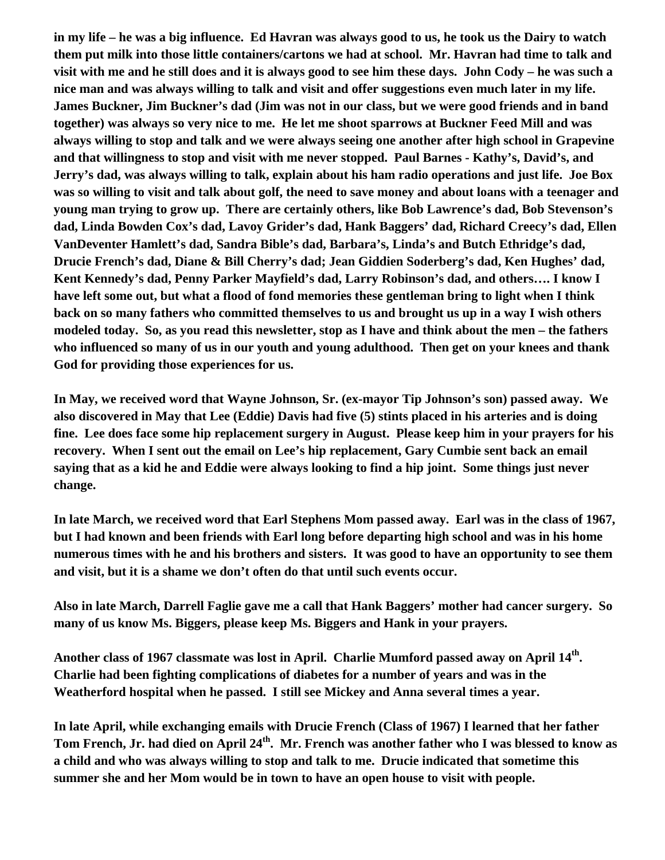**in my life – he was a big influence. Ed Havran was always good to us, he took us the Dairy to watch them put milk into those little containers/cartons we had at school. Mr. Havran had time to talk and visit with me and he still does and it is always good to see him these days. John Cody – he was such a nice man and was always willing to talk and visit and offer suggestions even much later in my life. James Buckner, Jim Buckner's dad (Jim was not in our class, but we were good friends and in band together) was always so very nice to me. He let me shoot sparrows at Buckner Feed Mill and was always willing to stop and talk and we were always seeing one another after high school in Grapevine and that willingness to stop and visit with me never stopped. Paul Barnes - Kathy's, David's, and Jerry's dad, was always willing to talk, explain about his ham radio operations and just life. Joe Box was so willing to visit and talk about golf, the need to save money and about loans with a teenager and young man trying to grow up. There are certainly others, like Bob Lawrence's dad, Bob Stevenson's dad, Linda Bowden Cox's dad, Lavoy Grider's dad, Hank Baggers' dad, Richard Creecy's dad, Ellen VanDeventer Hamlett's dad, Sandra Bible's dad, Barbara's, Linda's and Butch Ethridge's dad, Drucie French's dad, Diane & Bill Cherry's dad; Jean Giddien Soderberg's dad, Ken Hughes' dad, Kent Kennedy's dad, Penny Parker Mayfield's dad, Larry Robinson's dad, and others…. I know I have left some out, but what a flood of fond memories these gentleman bring to light when I think back on so many fathers who committed themselves to us and brought us up in a way I wish others modeled today. So, as you read this newsletter, stop as I have and think about the men – the fathers who influenced so many of us in our youth and young adulthood. Then get on your knees and thank God for providing those experiences for us.** 

**In May, we received word that Wayne Johnson, Sr. (ex-mayor Tip Johnson's son) passed away. We also discovered in May that Lee (Eddie) Davis had five (5) stints placed in his arteries and is doing fine. Lee does face some hip replacement surgery in August. Please keep him in your prayers for his recovery. When I sent out the email on Lee's hip replacement, Gary Cumbie sent back an email saying that as a kid he and Eddie were always looking to find a hip joint. Some things just never change.** 

**In late March, we received word that Earl Stephens Mom passed away. Earl was in the class of 1967, but I had known and been friends with Earl long before departing high school and was in his home numerous times with he and his brothers and sisters. It was good to have an opportunity to see them and visit, but it is a shame we don't often do that until such events occur.** 

**Also in late March, Darrell Faglie gave me a call that Hank Baggers' mother had cancer surgery. So many of us know Ms. Biggers, please keep Ms. Biggers and Hank in your prayers.** 

**Another class of 1967 classmate was lost in April. Charlie Mumford passed away on April 14th. Charlie had been fighting complications of diabetes for a number of years and was in the Weatherford hospital when he passed. I still see Mickey and Anna several times a year.** 

**In late April, while exchanging emails with Drucie French (Class of 1967) I learned that her father Tom French, Jr. had died on April 24th. Mr. French was another father who I was blessed to know as a child and who was always willing to stop and talk to me. Drucie indicated that sometime this summer she and her Mom would be in town to have an open house to visit with people.**